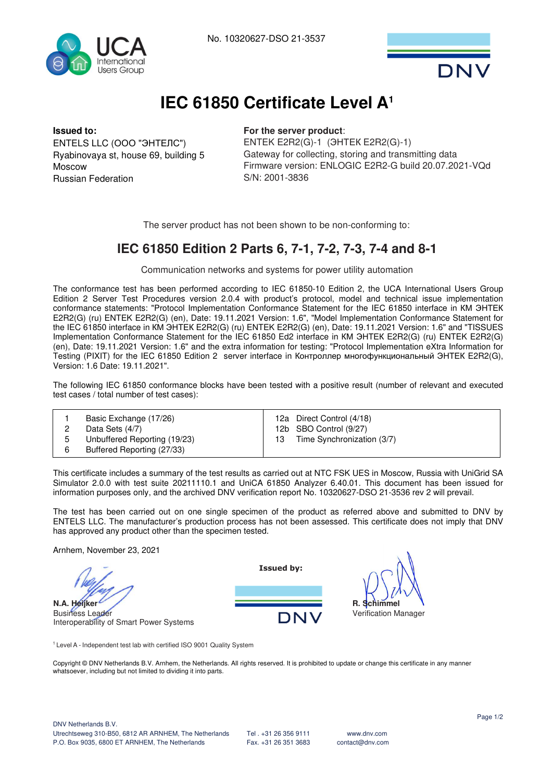



# **IEC 61850 Certificate Level A<sup>1</sup>**

#### **Issued to:**

ENTELS LLC (ООО "ЭНТЕЛС") Ryabinovaya st, house 69, building 5 Moscow Russian Federation

### **For the server product**:

ENTEK E2R2(G)-1 (ЭНТЕК E2R2(G)-1) Gateway for collecting, storing and transmitting data Firmware version: ENLOGIC E2R2-G build 20.07.2021-VQd S/N: 2001-3836

The server product has not been shown to be non-conforming to:

### **IEC 61850 Edition 2 Parts 6, 7-1, 7-2, 7-3, 7-4 and 8-1**

Communication networks and systems for power utility automation

The conformance test has been performed according to IEC 61850-10 Edition 2, the UCA International Users Group Edition 2 Server Test Procedures version 2.0.4 with product's protocol, model and technical issue implementation conformance statements: "Protocol Implementation Conformance Statement for the IEC 61850 interface in КМ ЭНТЕК E2R2(G) (ru) ENTEK E2R2(G) (en), Date: 19.11.2021 Version: 1.6", "Model Implementation Conformance Statement for the IEC 61850 interface in КМ ЭНТЕК E2R2(G) (ru) ENTEK E2R2(G) (en), Date: 19.11.2021 Version: 1.6" and "TISSUES Implementation Conformance Statement for the IEC 61850 Ed2 interface in КМ ЭНТЕК E2R2(G) (ru) ENTEK E2R2(G) (en), Date: 19.11.2021 Version: 1.6" and the extra information for testing: "Protocol Implementation eXtra Information for Testing (PIXIT) for the IEC 61850 Edition 2 server interface in Контроллер многофункциональный ЭНТЕК E2R2(G), Version: 1.6 Date: 19.11.2021".

The following IEC 61850 conformance blocks have been tested with a positive result (number of relevant and executed test cases / total number of test cases):

|        | Basic Exchange (17/26)<br>Data Sets (4/7)                  | 12a Direct Control (4/18)<br>12b SBO Control (9/27) |  |
|--------|------------------------------------------------------------|-----------------------------------------------------|--|
| 5<br>6 | Unbuffered Reporting (19/23)<br>Buffered Reporting (27/33) | Time Synchronization (3/7)                          |  |

This certificate includes a summary of the test results as carried out at NTC FSK UES in Moscow, Russia with UniGrid SA Simulator 2.0.0 with test suite 20211110.1 and UniCA 61850 Analyzer 6.40.01. This document has been issued for information purposes only, and the archived DNV verification report No. 10320627-DSO 21-3536 rev 2 will prevail.

The test has been carried out on one single specimen of the product as referred above and submitted to DNV by ENTELS LLC. The manufacturer's production process has not been assessed. This certificate does not imply that DNV has approved any product other than the specimen tested.

**Issued by:**

DNV

Arnhem, November 23, 2021

**N.A. Heijker** Business Leader Interoperability of Smart Power Systems

<sup>1</sup>Level A - Independent test lab with certified ISO 9001 Quality System

Copyright © DNV Netherlands B.V. Arnhem, the Netherlands. All rights reserved. It is prohibited to update or change this certificate in any manner whatsoever, including but not limited to dividing it into parts.

**R. Schimmel** Verification Manager